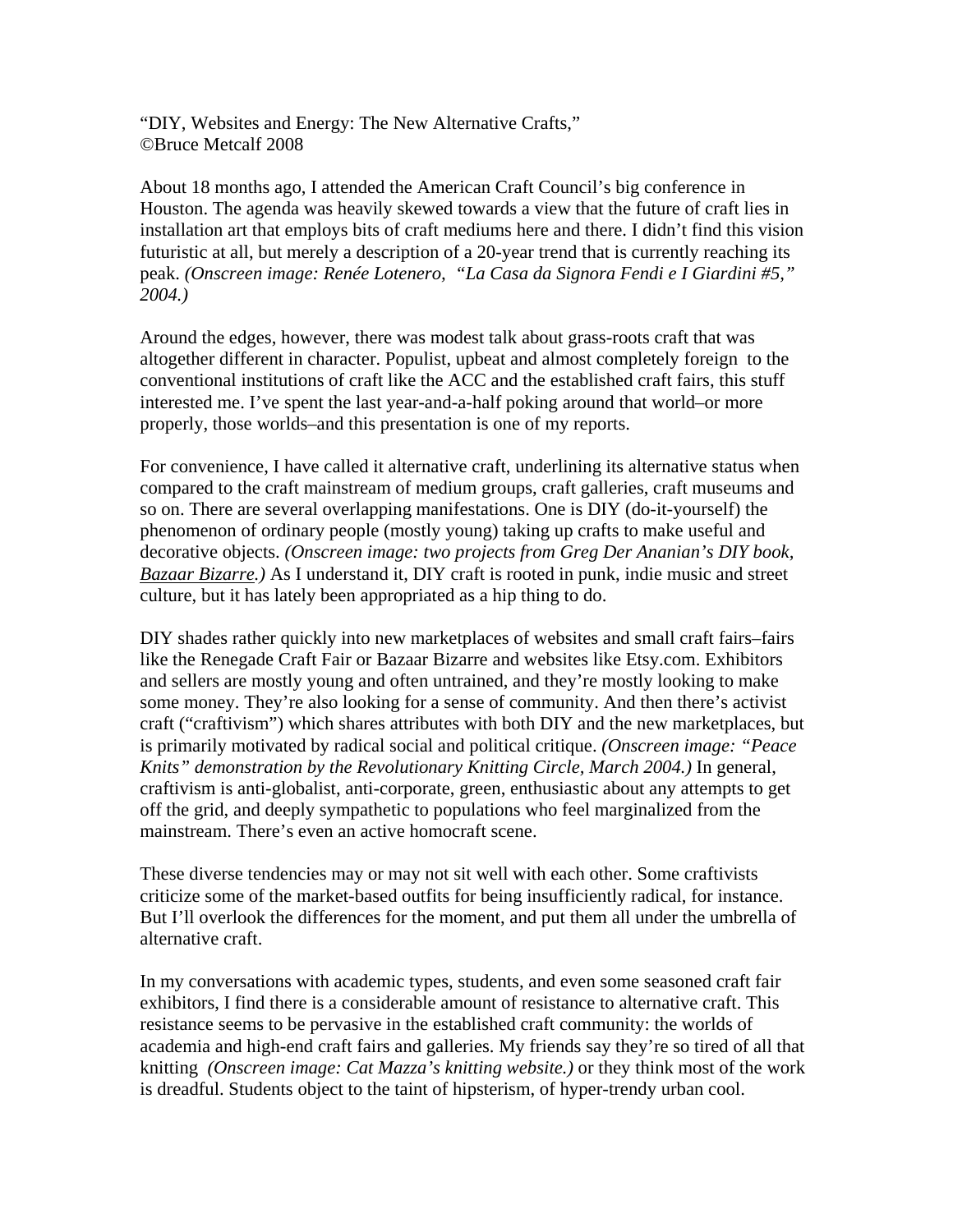"DIY, Websites and Energy: The New Alternative Crafts," ©Bruce Metcalf 2008

About 18 months ago, I attended the American Craft Council's big conference in Houston. The agenda was heavily skewed towards a view that the future of craft lies in installation art that employs bits of craft mediums here and there. I didn't find this vision futuristic at all, but merely a description of a 20-year trend that is currently reaching its peak. *(Onscreen image: Renée Lotenero, "La Casa da Signora Fendi e I Giardini #5," 2004.)*

Around the edges, however, there was modest talk about grass-roots craft that was altogether different in character. Populist, upbeat and almost completely foreign to the conventional institutions of craft like the ACC and the established craft fairs, this stuff interested me. I've spent the last year-and-a-half poking around that world–or more properly, those worlds–and this presentation is one of my reports.

For convenience, I have called it alternative craft, underlining its alternative status when compared to the craft mainstream of medium groups, craft galleries, craft museums and so on. There are several overlapping manifestations. One is DIY (do-it-yourself) the phenomenon of ordinary people (mostly young) taking up crafts to make useful and decorative objects. *(Onscreen image: two projects from Greg Der Ananian's DIY book, Bazaar Bizarre.)* As I understand it, DIY craft is rooted in punk, indie music and street culture, but it has lately been appropriated as a hip thing to do.

DIY shades rather quickly into new marketplaces of websites and small craft fairs–fairs like the Renegade Craft Fair or Bazaar Bizarre and websites like Etsy.com. Exhibitors and sellers are mostly young and often untrained, and they're mostly looking to make some money. They're also looking for a sense of community. And then there's activist craft ("craftivism") which shares attributes with both DIY and the new marketplaces, but is primarily motivated by radical social and political critique. *(Onscreen image: "Peace Knits" demonstration by the Revolutionary Knitting Circle, March 2004.)* In general, craftivism is anti-globalist, anti-corporate, green, enthusiastic about any attempts to get off the grid, and deeply sympathetic to populations who feel marginalized from the mainstream. There's even an active homocraft scene.

These diverse tendencies may or may not sit well with each other. Some craftivists criticize some of the market-based outfits for being insufficiently radical, for instance. But I'll overlook the differences for the moment, and put them all under the umbrella of alternative craft.

In my conversations with academic types, students, and even some seasoned craft fair exhibitors, I find there is a considerable amount of resistance to alternative craft. This resistance seems to be pervasive in the established craft community: the worlds of academia and high-end craft fairs and galleries. My friends say they're so tired of all that knitting *(Onscreen image: Cat Mazza's knitting website.)* or they think most of the work is dreadful. Students object to the taint of hipsterism, of hyper-trendy urban cool.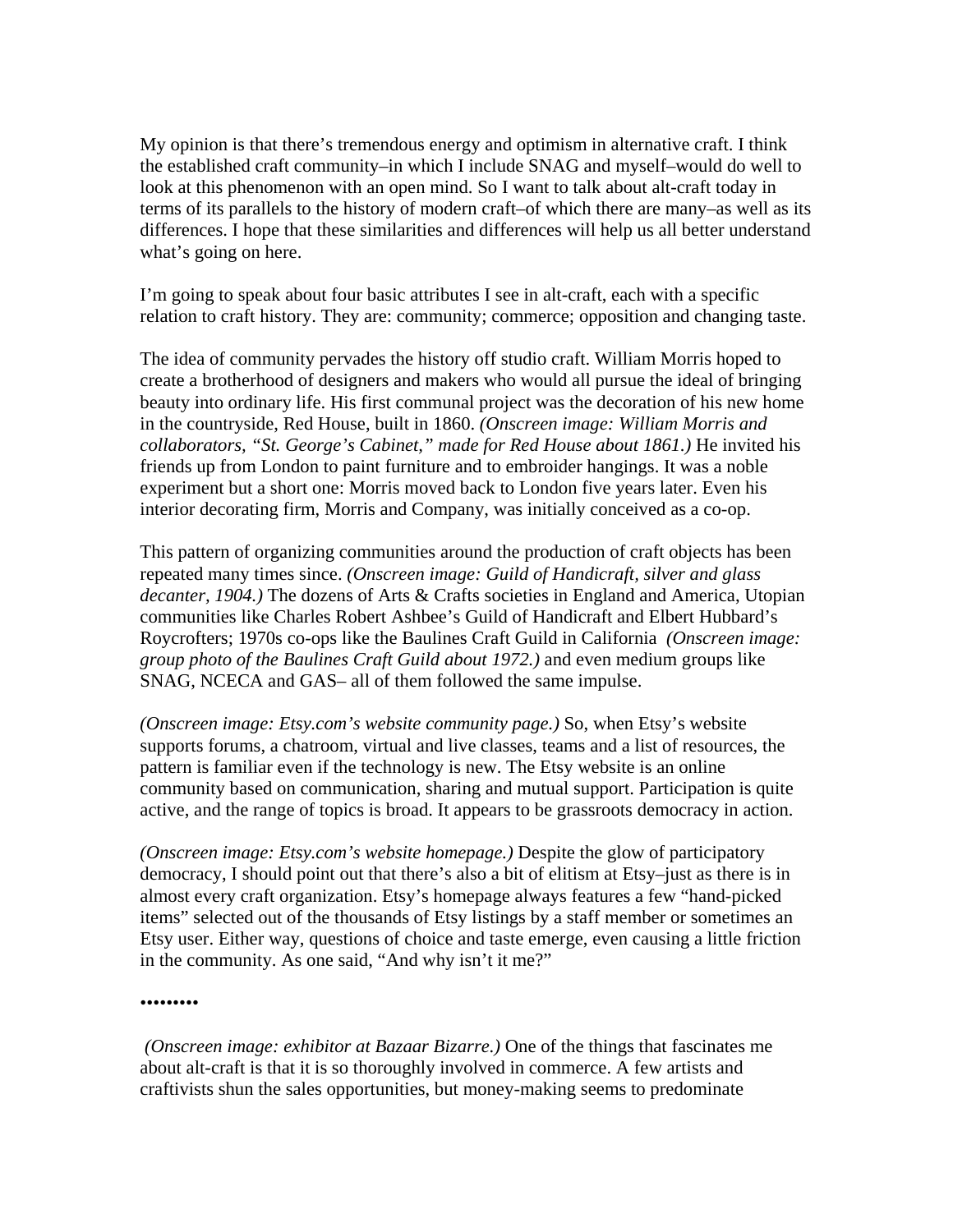My opinion is that there's tremendous energy and optimism in alternative craft. I think the established craft community–in which I include SNAG and myself–would do well to look at this phenomenon with an open mind. So I want to talk about alt-craft today in terms of its parallels to the history of modern craft–of which there are many–as well as its differences. I hope that these similarities and differences will help us all better understand what's going on here.

I'm going to speak about four basic attributes I see in alt-craft, each with a specific relation to craft history. They are: community; commerce; opposition and changing taste.

The idea of community pervades the history off studio craft. William Morris hoped to create a brotherhood of designers and makers who would all pursue the ideal of bringing beauty into ordinary life. His first communal project was the decoration of his new home in the countryside, Red House, built in 1860. *(Onscreen image: William Morris and collaborators, "St. George's Cabinet," made for Red House about 1861.)* He invited his friends up from London to paint furniture and to embroider hangings. It was a noble experiment but a short one: Morris moved back to London five years later. Even his interior decorating firm, Morris and Company, was initially conceived as a co-op.

This pattern of organizing communities around the production of craft objects has been repeated many times since. *(Onscreen image: Guild of Handicraft, silver and glass decanter, 1904.)* The dozens of Arts & Crafts societies in England and America, Utopian communities like Charles Robert Ashbee's Guild of Handicraft and Elbert Hubbard's Roycrofters; 1970s co-ops like the Baulines Craft Guild in California *(Onscreen image: group photo of the Baulines Craft Guild about 1972.)* and even medium groups like SNAG, NCECA and GAS– all of them followed the same impulse.

*(Onscreen image: Etsy.com's website community page.)* So, when Etsy's website supports forums, a chatroom, virtual and live classes, teams and a list of resources, the pattern is familiar even if the technology is new. The Etsy website is an online community based on communication, sharing and mutual support. Participation is quite active, and the range of topics is broad. It appears to be grassroots democracy in action.

*(Onscreen image: Etsy.com's website homepage.)* Despite the glow of participatory democracy, I should point out that there's also a bit of elitism at Etsy–just as there is in almost every craft organization. Etsy's homepage always features a few "hand-picked items" selected out of the thousands of Etsy listings by a staff member or sometimes an Etsy user. Either way, questions of choice and taste emerge, even causing a little friction in the community. As one said, "And why isn't it me?"

## •••••••••

*(Onscreen image: exhibitor at Bazaar Bizarre.)* One of the things that fascinates me about alt-craft is that it is so thoroughly involved in commerce. A few artists and craftivists shun the sales opportunities, but money-making seems to predominate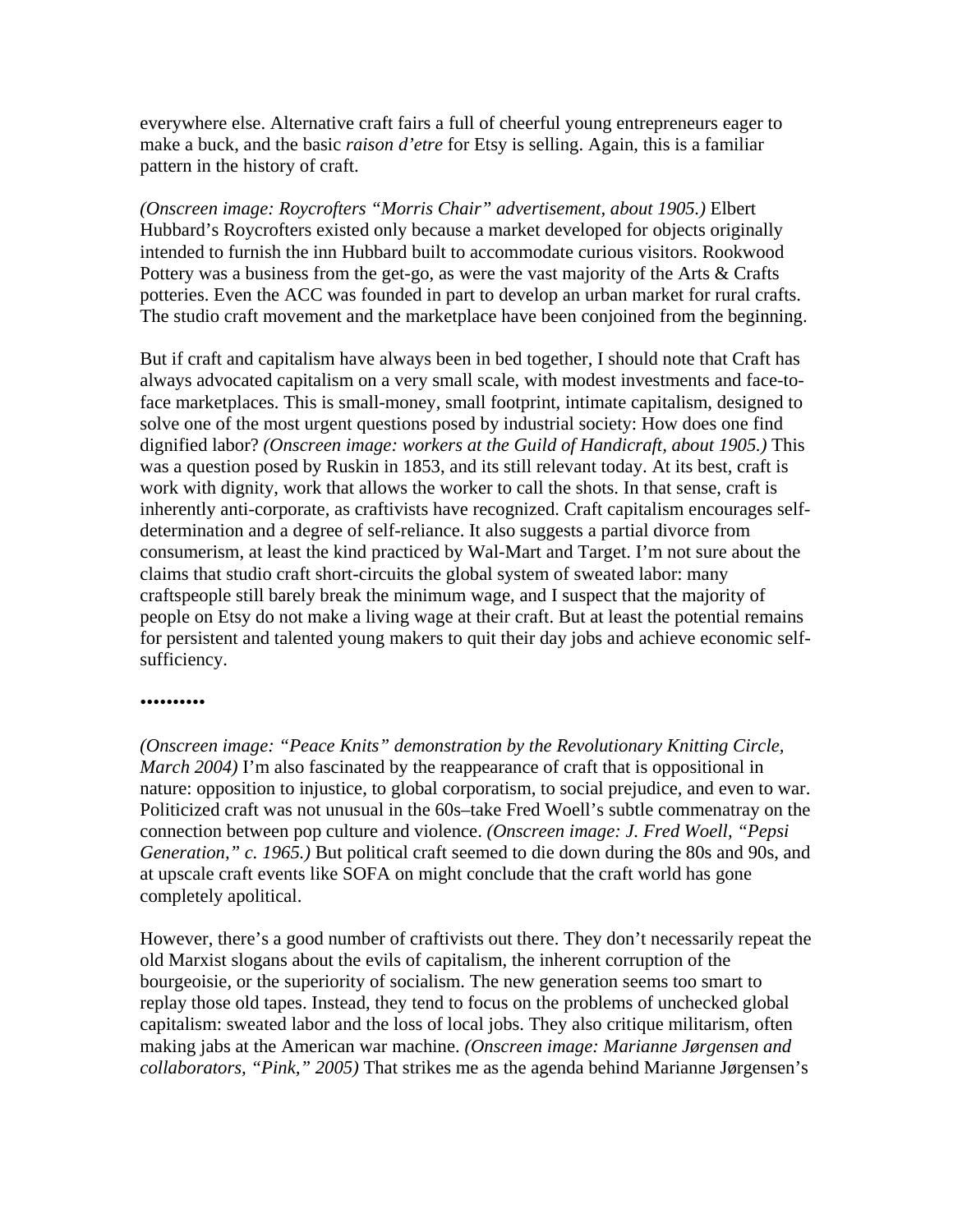everywhere else. Alternative craft fairs a full of cheerful young entrepreneurs eager to make a buck, and the basic *raison d'etre* for Etsy is selling. Again, this is a familiar pattern in the history of craft.

*(Onscreen image: Roycrofters "Morris Chair" advertisement, about 1905.)* Elbert Hubbard's Roycrofters existed only because a market developed for objects originally intended to furnish the inn Hubbard built to accommodate curious visitors. Rookwood Pottery was a business from the get-go, as were the vast majority of the Arts & Crafts potteries. Even the ACC was founded in part to develop an urban market for rural crafts. The studio craft movement and the marketplace have been conjoined from the beginning.

But if craft and capitalism have always been in bed together, I should note that Craft has always advocated capitalism on a very small scale, with modest investments and face-toface marketplaces. This is small-money, small footprint, intimate capitalism, designed to solve one of the most urgent questions posed by industrial society: How does one find dignified labor? *(Onscreen image: workers at the Guild of Handicraft, about 1905.)* This was a question posed by Ruskin in 1853, and its still relevant today. At its best, craft is work with dignity, work that allows the worker to call the shots. In that sense, craft is inherently anti-corporate, as craftivists have recognized. Craft capitalism encourages selfdetermination and a degree of self-reliance. It also suggests a partial divorce from consumerism, at least the kind practiced by Wal-Mart and Target. I'm not sure about the claims that studio craft short-circuits the global system of sweated labor: many craftspeople still barely break the minimum wage, and I suspect that the majority of people on Etsy do not make a living wage at their craft. But at least the potential remains for persistent and talented young makers to quit their day jobs and achieve economic selfsufficiency.

## ••••••••••

*(Onscreen image: "Peace Knits" demonstration by the Revolutionary Knitting Circle, March 2004*) I'm also fascinated by the reappearance of craft that is oppositional in nature: opposition to injustice, to global corporatism, to social prejudice, and even to war. Politicized craft was not unusual in the 60s–take Fred Woell's subtle commenatray on the connection between pop culture and violence. *(Onscreen image: J. Fred Woell, "Pepsi Generation," c. 1965.)* But political craft seemed to die down during the 80s and 90s, and at upscale craft events like SOFA on might conclude that the craft world has gone completely apolitical.

However, there's a good number of craftivists out there. They don't necessarily repeat the old Marxist slogans about the evils of capitalism, the inherent corruption of the bourgeoisie, or the superiority of socialism. The new generation seems too smart to replay those old tapes. Instead, they tend to focus on the problems of unchecked global capitalism: sweated labor and the loss of local jobs. They also critique militarism, often making jabs at the American war machine. *(Onscreen image: Marianne Jørgensen and collaborators, "Pink," 2005)* That strikes me as the agenda behind Marianne Jørgensen's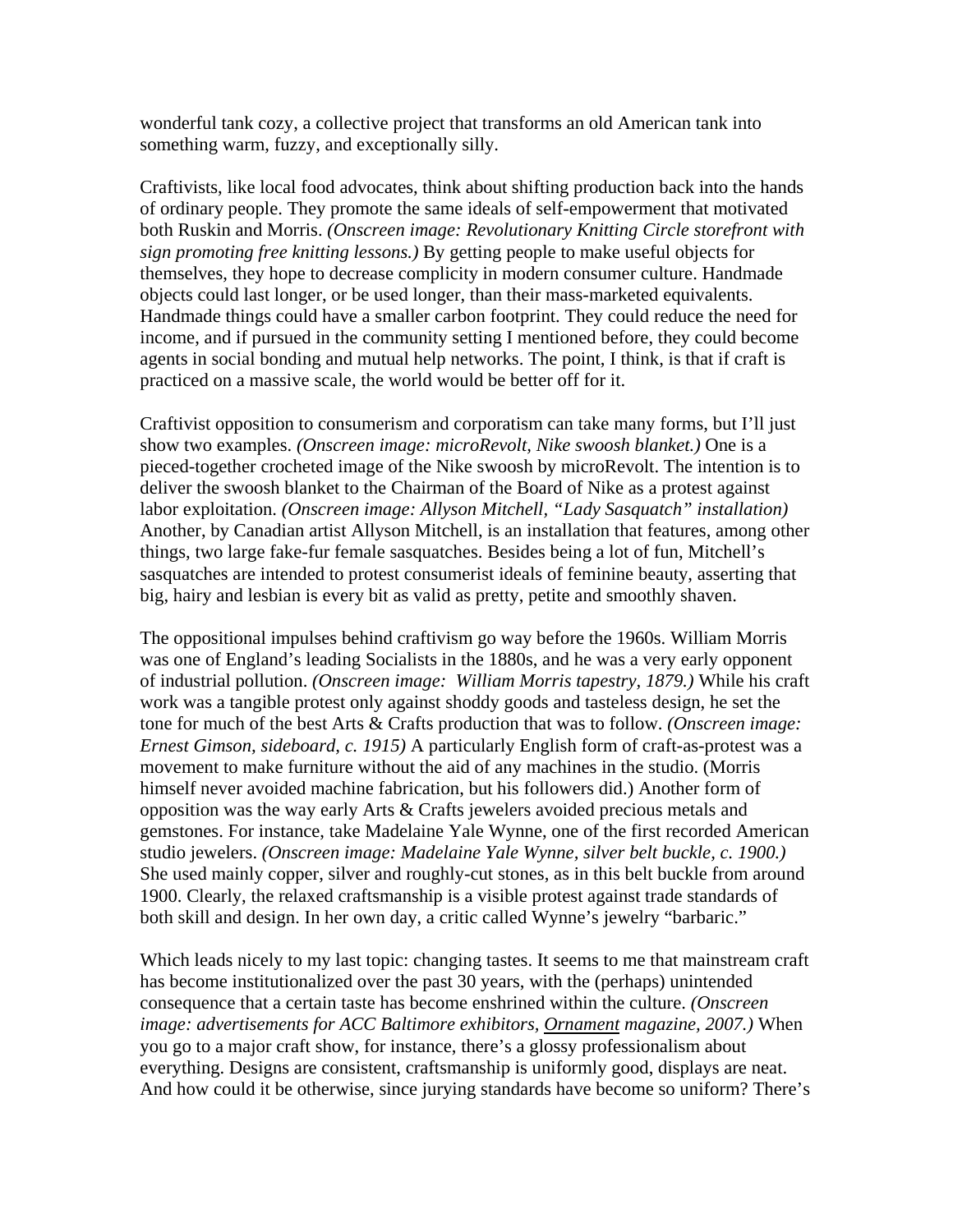wonderful tank cozy, a collective project that transforms an old American tank into something warm, fuzzy, and exceptionally silly.

Craftivists, like local food advocates, think about shifting production back into the hands of ordinary people. They promote the same ideals of self-empowerment that motivated both Ruskin and Morris. *(Onscreen image: Revolutionary Knitting Circle storefront with sign promoting free knitting lessons.)* By getting people to make useful objects for themselves, they hope to decrease complicity in modern consumer culture. Handmade objects could last longer, or be used longer, than their mass-marketed equivalents. Handmade things could have a smaller carbon footprint. They could reduce the need for income, and if pursued in the community setting I mentioned before, they could become agents in social bonding and mutual help networks. The point, I think, is that if craft is practiced on a massive scale, the world would be better off for it.

Craftivist opposition to consumerism and corporatism can take many forms, but I'll just show two examples. *(Onscreen image: microRevolt, Nike swoosh blanket.)* One is a pieced-together crocheted image of the Nike swoosh by microRevolt. The intention is to deliver the swoosh blanket to the Chairman of the Board of Nike as a protest against labor exploitation. *(Onscreen image: Allyson Mitchell, "Lady Sasquatch" installation)*  Another, by Canadian artist Allyson Mitchell, is an installation that features, among other things, two large fake-fur female sasquatches. Besides being a lot of fun, Mitchell's sasquatches are intended to protest consumerist ideals of feminine beauty, asserting that big, hairy and lesbian is every bit as valid as pretty, petite and smoothly shaven.

The oppositional impulses behind craftivism go way before the 1960s. William Morris was one of England's leading Socialists in the 1880s, and he was a very early opponent of industrial pollution. *(Onscreen image: William Morris tapestry, 1879.)* While his craft work was a tangible protest only against shoddy goods and tasteless design, he set the tone for much of the best Arts & Crafts production that was to follow. *(Onscreen image: Ernest Gimson, sideboard, c. 1915)* A particularly English form of craft-as-protest was a movement to make furniture without the aid of any machines in the studio. (Morris himself never avoided machine fabrication, but his followers did.) Another form of opposition was the way early Arts & Crafts jewelers avoided precious metals and gemstones. For instance, take Madelaine Yale Wynne, one of the first recorded American studio jewelers. *(Onscreen image: Madelaine Yale Wynne, silver belt buckle, c. 1900.)*  She used mainly copper, silver and roughly-cut stones, as in this belt buckle from around 1900. Clearly, the relaxed craftsmanship is a visible protest against trade standards of both skill and design. In her own day, a critic called Wynne's jewelry "barbaric."

Which leads nicely to my last topic: changing tastes. It seems to me that mainstream craft has become institutionalized over the past 30 years, with the (perhaps) unintended consequence that a certain taste has become enshrined within the culture. *(Onscreen image: advertisements for ACC Baltimore exhibitors, Ornament magazine, 2007.)* When you go to a major craft show, for instance, there's a glossy professionalism about everything. Designs are consistent, craftsmanship is uniformly good, displays are neat. And how could it be otherwise, since jurying standards have become so uniform? There's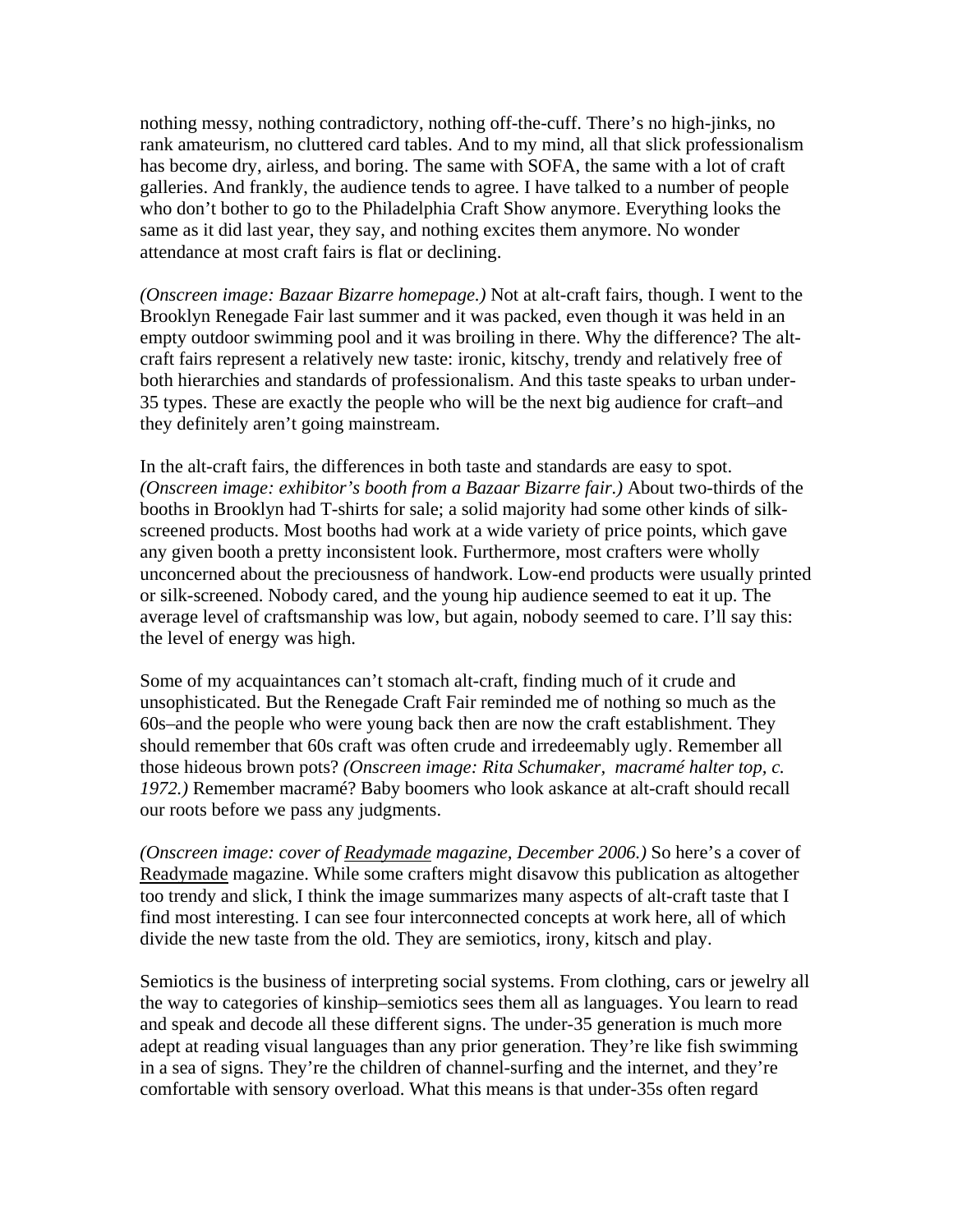nothing messy, nothing contradictory, nothing off-the-cuff. There's no high-jinks, no rank amateurism, no cluttered card tables. And to my mind, all that slick professionalism has become dry, airless, and boring. The same with SOFA, the same with a lot of craft galleries. And frankly, the audience tends to agree. I have talked to a number of people who don't bother to go to the Philadelphia Craft Show anymore. Everything looks the same as it did last year, they say, and nothing excites them anymore. No wonder attendance at most craft fairs is flat or declining.

*(Onscreen image: Bazaar Bizarre homepage.)* Not at alt-craft fairs, though. I went to the Brooklyn Renegade Fair last summer and it was packed, even though it was held in an empty outdoor swimming pool and it was broiling in there. Why the difference? The altcraft fairs represent a relatively new taste: ironic, kitschy, trendy and relatively free of both hierarchies and standards of professionalism. And this taste speaks to urban under-35 types. These are exactly the people who will be the next big audience for craft–and they definitely aren't going mainstream.

In the alt-craft fairs, the differences in both taste and standards are easy to spot. *(Onscreen image: exhibitor's booth from a Bazaar Bizarre fair.)* About two-thirds of the booths in Brooklyn had T-shirts for sale; a solid majority had some other kinds of silkscreened products. Most booths had work at a wide variety of price points, which gave any given booth a pretty inconsistent look. Furthermore, most crafters were wholly unconcerned about the preciousness of handwork. Low-end products were usually printed or silk-screened. Nobody cared, and the young hip audience seemed to eat it up. The average level of craftsmanship was low, but again, nobody seemed to care. I'll say this: the level of energy was high.

Some of my acquaintances can't stomach alt-craft, finding much of it crude and unsophisticated. But the Renegade Craft Fair reminded me of nothing so much as the 60s–and the people who were young back then are now the craft establishment. They should remember that 60s craft was often crude and irredeemably ugly. Remember all those hideous brown pots? *(Onscreen image: Rita Schumaker, macramé halter top, c. 1972.)* Remember macramé? Baby boomers who look askance at alt-craft should recall our roots before we pass any judgments.

*(Onscreen image: cover of Readymade magazine, December 2006.)* So here's a cover of Readymade magazine. While some crafters might disavow this publication as altogether too trendy and slick, I think the image summarizes many aspects of alt-craft taste that I find most interesting. I can see four interconnected concepts at work here, all of which divide the new taste from the old. They are semiotics, irony, kitsch and play.

Semiotics is the business of interpreting social systems. From clothing, cars or jewelry all the way to categories of kinship–semiotics sees them all as languages. You learn to read and speak and decode all these different signs. The under-35 generation is much more adept at reading visual languages than any prior generation. They're like fish swimming in a sea of signs. They're the children of channel-surfing and the internet, and they're comfortable with sensory overload. What this means is that under-35s often regard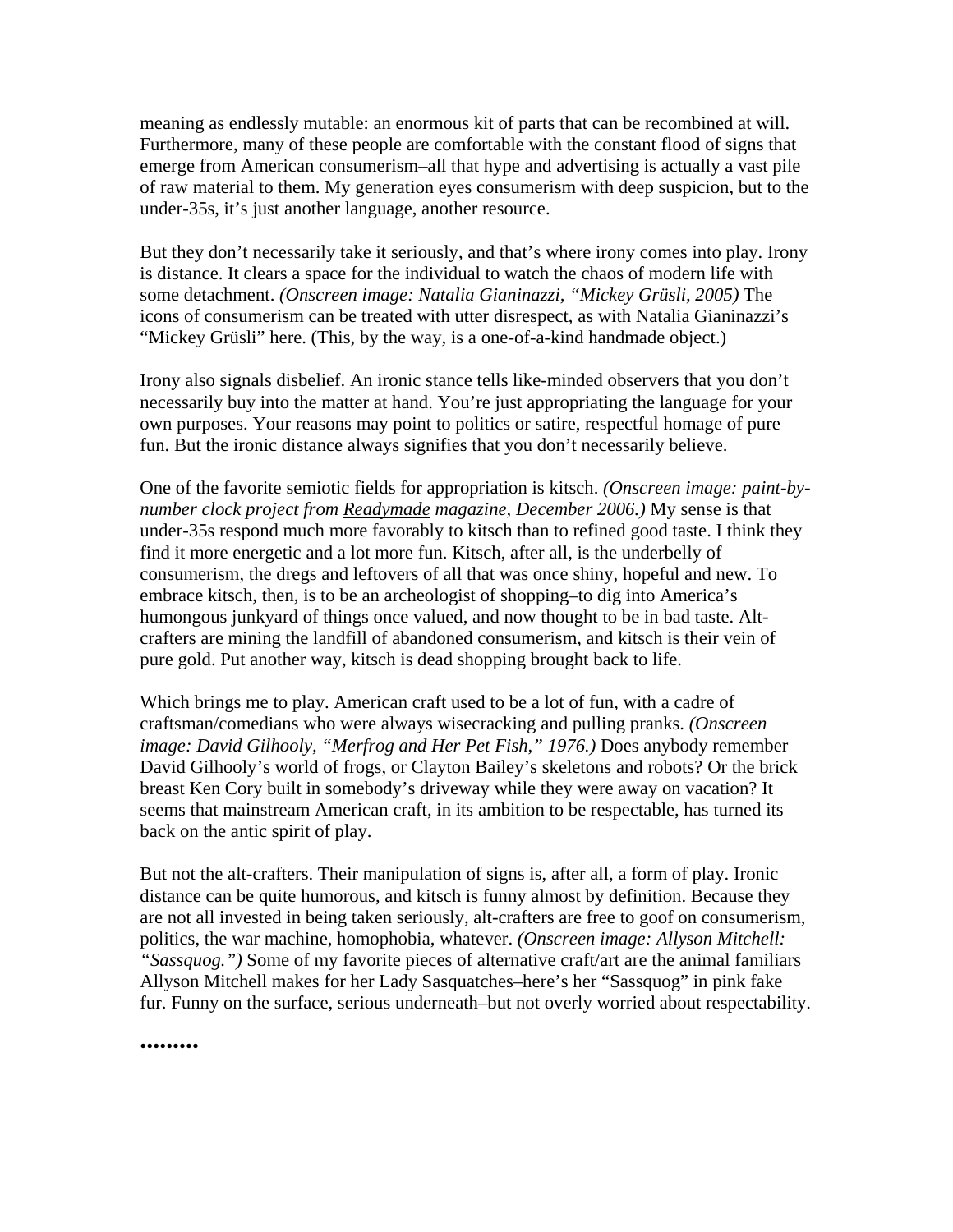meaning as endlessly mutable: an enormous kit of parts that can be recombined at will. Furthermore, many of these people are comfortable with the constant flood of signs that emerge from American consumerism–all that hype and advertising is actually a vast pile of raw material to them. My generation eyes consumerism with deep suspicion, but to the under-35s, it's just another language, another resource.

But they don't necessarily take it seriously, and that's where irony comes into play. Irony is distance. It clears a space for the individual to watch the chaos of modern life with some detachment. *(Onscreen image: Natalia Gianinazzi, "Mickey Grüsli, 2005)* The icons of consumerism can be treated with utter disrespect, as with Natalia Gianinazzi's "Mickey Grüsli" here. (This, by the way, is a one-of-a-kind handmade object.)

Irony also signals disbelief. An ironic stance tells like-minded observers that you don't necessarily buy into the matter at hand. You're just appropriating the language for your own purposes. Your reasons may point to politics or satire, respectful homage of pure fun. But the ironic distance always signifies that you don't necessarily believe.

One of the favorite semiotic fields for appropriation is kitsch. *(Onscreen image: paint-bynumber clock project from Readymade magazine, December 2006.)* My sense is that under-35s respond much more favorably to kitsch than to refined good taste. I think they find it more energetic and a lot more fun. Kitsch, after all, is the underbelly of consumerism, the dregs and leftovers of all that was once shiny, hopeful and new. To embrace kitsch, then, is to be an archeologist of shopping–to dig into America's humongous junkyard of things once valued, and now thought to be in bad taste. Altcrafters are mining the landfill of abandoned consumerism, and kitsch is their vein of pure gold. Put another way, kitsch is dead shopping brought back to life.

Which brings me to play. American craft used to be a lot of fun, with a cadre of craftsman/comedians who were always wisecracking and pulling pranks. *(Onscreen image: David Gilhooly, "Merfrog and Her Pet Fish," 1976.)* Does anybody remember David Gilhooly's world of frogs, or Clayton Bailey's skeletons and robots? Or the brick breast Ken Cory built in somebody's driveway while they were away on vacation? It seems that mainstream American craft, in its ambition to be respectable, has turned its back on the antic spirit of play.

But not the alt-crafters. Their manipulation of signs is, after all, a form of play. Ironic distance can be quite humorous, and kitsch is funny almost by definition. Because they are not all invested in being taken seriously, alt-crafters are free to goof on consumerism, politics, the war machine, homophobia, whatever. *(Onscreen image: Allyson Mitchell: "Sassquog.")* Some of my favorite pieces of alternative craft/art are the animal familiars Allyson Mitchell makes for her Lady Sasquatches–here's her "Sassquog" in pink fake fur. Funny on the surface, serious underneath–but not overly worried about respectability.

•••••••••